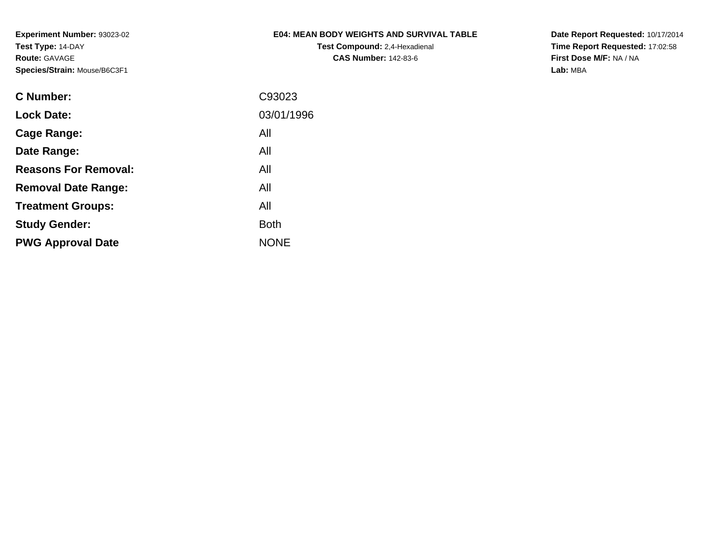## **E04: MEAN BODY WEIGHTS AND SURVIVAL TABLE**

**Test Compound:** 2,4-Hexadienal **CAS Number:** 142-83-6

**Date Report Requested:** 10/17/2014 **Time Report Requested:** 17:02:58**First Dose M/F:** NA / NA**Lab:** MBA

| C Number:                   | C93023      |
|-----------------------------|-------------|
| <b>Lock Date:</b>           | 03/01/1996  |
| Cage Range:                 | All         |
| Date Range:                 | All         |
| <b>Reasons For Removal:</b> | All         |
| <b>Removal Date Range:</b>  | All         |
| <b>Treatment Groups:</b>    | All         |
| <b>Study Gender:</b>        | Both        |
| <b>PWG Approval Date</b>    | <b>NONE</b> |
|                             |             |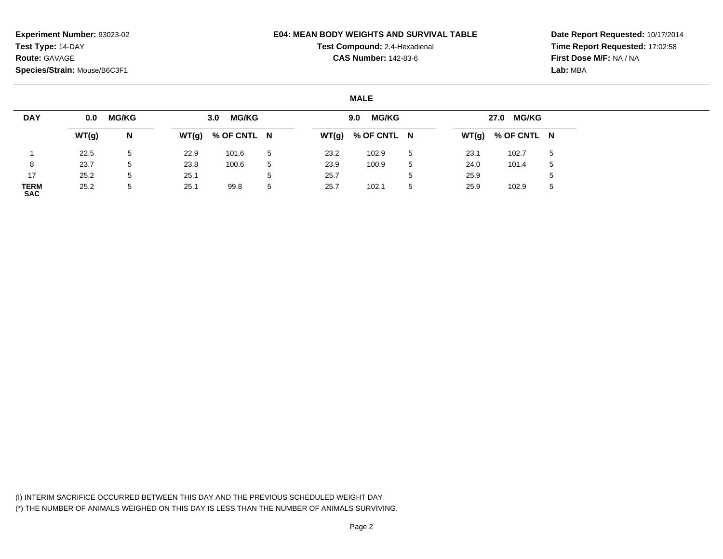### **E04: MEAN BODY WEIGHTS AND SURVIVAL TABLE**

**Test Compound:** 2,4-Hexadienal

**CAS Number:** 142-83-6

**Date Report Requested:** 10/17/2014**Time Report Requested:** 17:02:58**First Dose M/F:** NA / NA**Lab:** MBA

### **MALE**

| <b>DAY</b>                | 0.0   | <b>MG/KG</b> |      | <b>MG/KG</b><br>3.0 |   |      | <b>MG/KG</b><br>9.0 |   |      | 27.0 MG/KG          |   |
|---------------------------|-------|--------------|------|---------------------|---|------|---------------------|---|------|---------------------|---|
|                           | WT(g) | N            |      | $WT(g)$ % OF CNTL N |   |      | $WT(g)$ % OF CNTL N |   |      | $WT(g)$ % OF CNTL N |   |
|                           | 22.5  | 5            | 22.9 | 101.6               | 5 | 23.2 | 102.9               | 5 | 23.1 | 102.7               | 5 |
| 8                         | 23.7  | 5            | 23.8 | 100.6               | 5 | 23.9 | 100.9               | 5 | 24.0 | 101.4               | 5 |
| 17                        | 25.2  | 5            | 25.1 |                     | 5 | 25.7 |                     | ა | 25.9 |                     |   |
| <b>TERM</b><br><b>SAC</b> | 25.2  | 5            | 25.1 | 99.8                | 5 | 25.7 | 102.1               | 5 | 25.9 | 102.9               | 5 |

(I) INTERIM SACRIFICE OCCURRED BETWEEN THIS DAY AND THE PREVIOUS SCHEDULED WEIGHT DAY(\*) THE NUMBER OF ANIMALS WEIGHED ON THIS DAY IS LESS THAN THE NUMBER OF ANIMALS SURVIVING.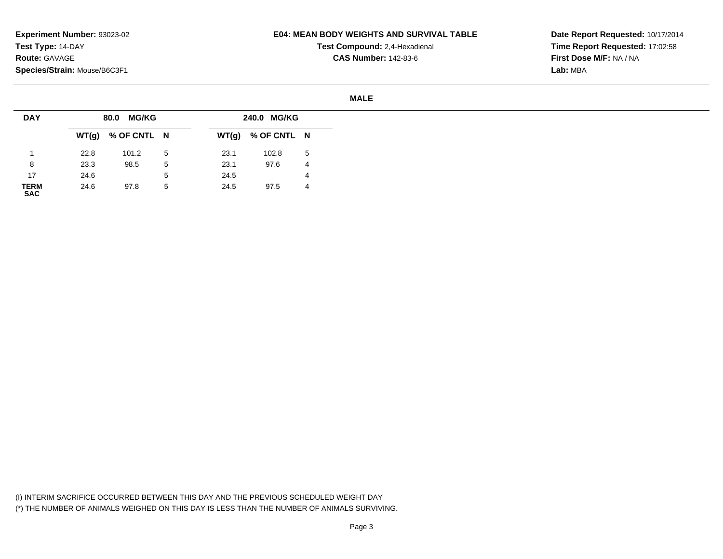### **E04: MEAN BODY WEIGHTS AND SURVIVAL TABLE**

**Test Compound:** 2,4-Hexadienal **CAS Number:** 142-83-6

**Date Report Requested:** 10/17/2014**Time Report Requested:** 17:02:58**First Dose M/F:** NA / NA**Lab:** MBA

#### **MALE**

| <b>DAY</b>          |      | 80.0 MG/KG          |   |      | 240.0 MG/KG         |    |
|---------------------|------|---------------------|---|------|---------------------|----|
|                     |      | $WT(g)$ % OF CNTL N |   |      | $WT(g)$ % OF CNTL N |    |
|                     | 22.8 | 101.2               | 5 | 23.1 | 102.8               | -5 |
| 8                   | 23.3 | 98.5                | 5 | 23.1 | 97.6                | 4  |
| 17                  | 24.6 |                     | 5 | 24.5 |                     | 4  |
| <b>TERM<br/>SAC</b> | 24.6 | 97.8                | 5 | 24.5 | 97.5                | 4  |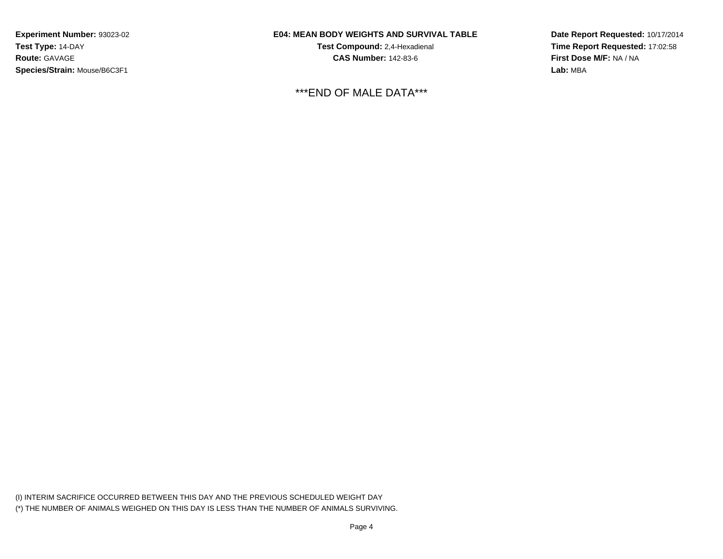### **E04: MEAN BODY WEIGHTS AND SURVIVAL TABLE**

**Test Compound:** 2,4-Hexadienal **CAS Number:** 142-83-6

\*\*\*END OF MALE DATA\*\*\*

**Date Report Requested:** 10/17/2014**Time Report Requested:** 17:02:58**First Dose M/F:** NA / NA**Lab:** MBA

(I) INTERIM SACRIFICE OCCURRED BETWEEN THIS DAY AND THE PREVIOUS SCHEDULED WEIGHT DAY(\*) THE NUMBER OF ANIMALS WEIGHED ON THIS DAY IS LESS THAN THE NUMBER OF ANIMALS SURVIVING.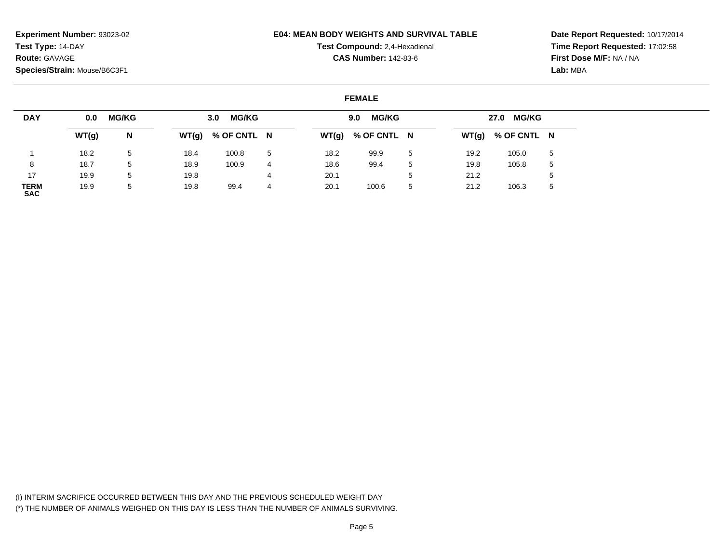### **E04: MEAN BODY WEIGHTS AND SURVIVAL TABLE**

**Test Compound:** 2,4-Hexadienal

**CAS Number:** 142-83-6

**Date Report Requested:** 10/17/2014**Time Report Requested:** 17:02:58**First Dose M/F:** NA / NA**Lab:** MBA

### **FEMALE**

| <b>DAY</b>                | 0.0   | <b>MG/KG</b> |       | <b>MG/KG</b><br>3.0 |    |       | <b>MG/KG</b><br>9.0 |         |      | 27.0 MG/KG          |   |
|---------------------------|-------|--------------|-------|---------------------|----|-------|---------------------|---------|------|---------------------|---|
|                           | WT(g) | N            | WT(g) | % OF CNTL N         |    | WT(g) | % OF CNTL N         |         |      | $WT(g)$ % OF CNTL N |   |
|                           | 18.2  | 5            | 18.4  | 100.8               | -5 | 18.2  | 99.9                | 5       | 19.2 | 105.0               | 5 |
|                           | 18.7  | 5            | 18.9  | 100.9               | 4  | 18.6  | 99.4                | 5       | 19.8 | 105.8               | 5 |
| 17                        | 19.9  | 5            | 19.8  |                     | 4  | 20.1  |                     | ∽<br>J. | 21.2 |                     |   |
| <b>TERM</b><br><b>SAC</b> | 19.9  | 5            | 19.8  | 99.4                | 4  | 20.1  | 100.6               | 5       | 21.2 | 106.3               | ა |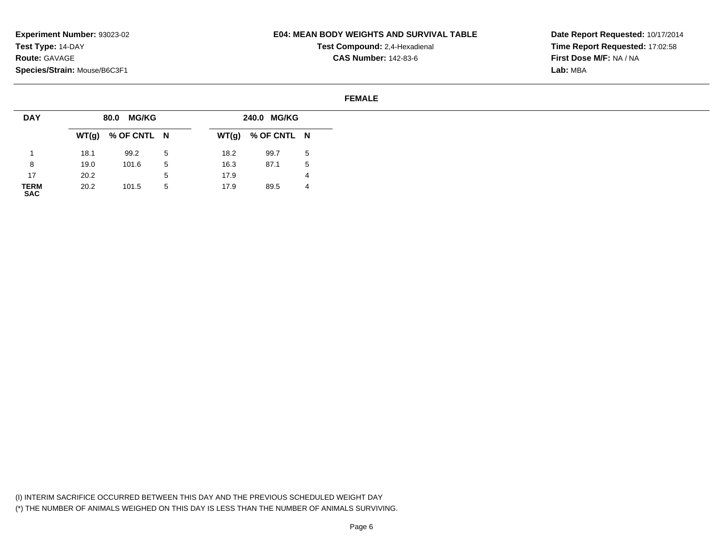### **E04: MEAN BODY WEIGHTS AND SURVIVAL TABLE**

**Test Compound:** 2,4-Hexadienal **CAS Number:** 142-83-6

**Date Report Requested:** 10/17/2014**Time Report Requested:** 17:02:58**First Dose M/F:** NA / NA**Lab:** MBA

#### **FEMALE**

| <b>DAY</b>          |      | 80.0 MG/KG          |    |      | 240.0 MG/KG         |    |
|---------------------|------|---------------------|----|------|---------------------|----|
|                     |      | $WT(g)$ % OF CNTL N |    |      | $WT(g)$ % OF CNTL N |    |
|                     | 18.1 | 99.2                | -5 | 18.2 | 99.7                | -5 |
| 8                   | 19.0 | 101.6               | 5  | 16.3 | 87.1                | 5  |
| 17                  | 20.2 |                     | 5  | 17.9 |                     | 4  |
| <b>TERM<br/>SAC</b> | 20.2 | 101.5               | 5  | 17.9 | 89.5                | 4  |